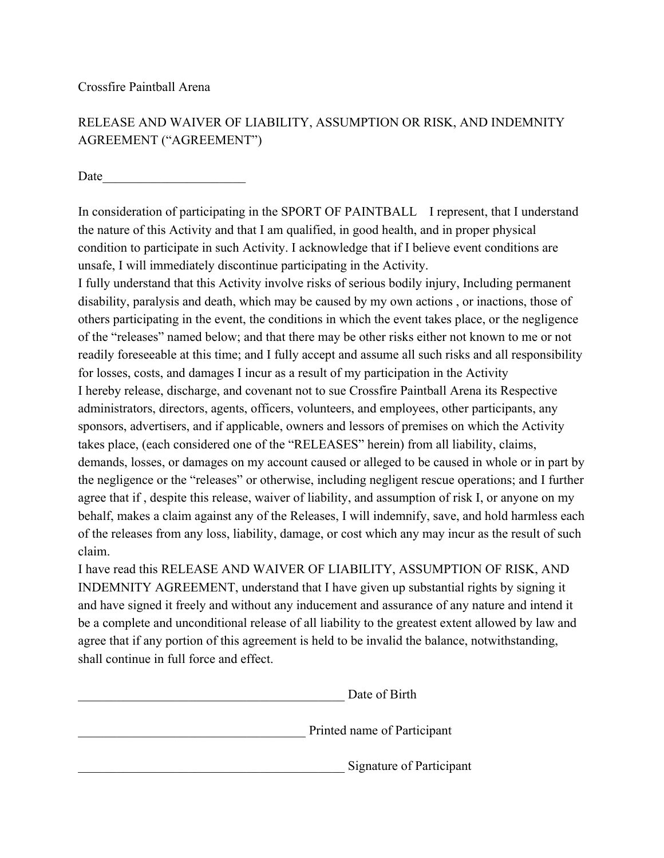## RELEASE AND WAIVER OF LIABILITY, ASSUMPTION OR RISK, AND INDEMNITY AGREEMENT ("AGREEMENT")

Date  $\Box$ 

In consideration of participating in the SPORT OF PAINTBALL I represent, that I understand the nature of this Activity and that I am qualified, in good health, and in proper physical condition to participate in such Activity. I acknowledge that if I believe event conditions are unsafe, I will immediately discontinue participating in the Activity.

I fully understand that this Activity involve risks of serious bodily injury, Including permanent disability, paralysis and death, which may be caused by my own actions , or inactions, those of others participating in the event, the conditions in which the event takes place, or the negligence of the "releases" named below; and that there may be other risks either not known to me or not readily foreseeable at this time; and I fully accept and assume all such risks and all responsibility for losses, costs, and damages I incur as a result of my participation in the Activity I hereby release, discharge, and covenant not to sue Crossfire Paintball Arena its Respective administrators, directors, agents, officers, volunteers, and employees, other participants, any sponsors, advertisers, and if applicable, owners and lessors of premises on which the Activity takes place, (each considered one of the "RELEASES" herein) from all liability, claims, demands, losses, or damages on my account caused or alleged to be caused in whole or in part by the negligence or the "releases" or otherwise, including negligent rescue operations; and I further agree that if , despite this release, waiver of liability, and assumption of risk I, or anyone on my behalf, makes a claim against any of the Releases, I will indemnify, save, and hold harmless each of the releases from any loss, liability, damage, or cost which any may incur as the result of such claim.

I have read this RELEASE AND WAIVER OF LIABILITY, ASSUMPTION OF RISK, AND INDEMNITY AGREEMENT, understand that I have given up substantial rights by signing it and have signed it freely and without any inducement and assurance of any nature and intend it be a complete and unconditional release of all liability to the greatest extent allowed by law and agree that if any portion of this agreement is held to be invalid the balance, notwithstanding, shall continue in full force and effect.

| Date of Birth               |
|-----------------------------|
| Printed name of Participant |
| Signature of Participant    |